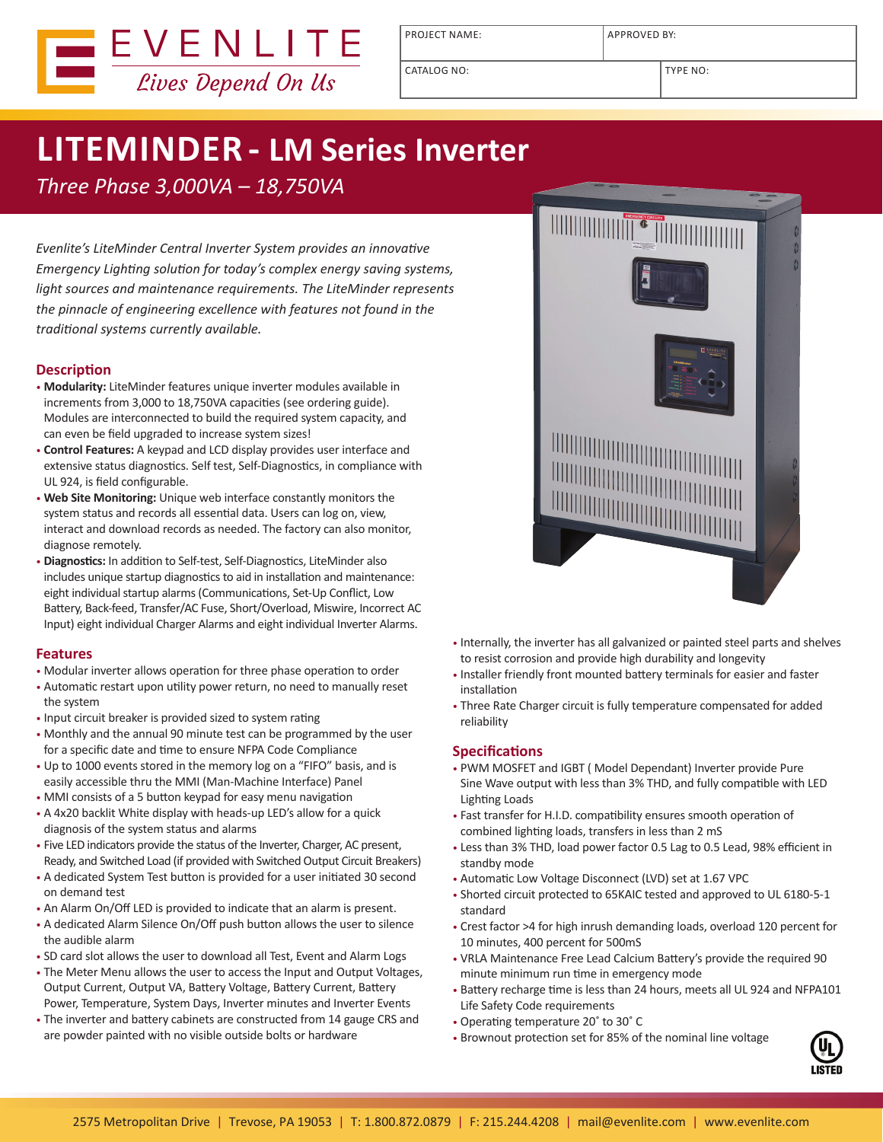

PROJECT NAME: APPROVED BY:

CATALOG NO: TYPE NO:

# **LITEMINDER - LM Series Inverter**

*Three Phase 3,000VA – 18,750VA*

*Evenlite's LiteMinder Central Inverter System provides an innovative Emergency Lighting solution for today's complex energy saving systems, light sources and maintenance requirements. The LiteMinder represents the pinnacle of engineering excellence with features not found in the traditional systems currently available.*

## **Description**

- **Modularity:** LiteMinder features unique inverter modules available in increments from 3,000 to 18,750VA capacities (see ordering guide). Modules are interconnected to build the required system capacity, and can even be field upgraded to increase system sizes!
- **Control Features:** A keypad and LCD display provides user interface and extensive status diagnostics. Self test, Self-Diagnostics, in compliance with UL 924, is field configurable.
- **Web Site Monitoring:** Unique web interface constantly monitors the system status and records all essential data. Users can log on, view, interact and download records as needed. The factory can also monitor, diagnose remotely.
- **Diagnostics:** In addition to Self-test, Self-Diagnostics, LiteMinder also includes unique startup diagnostics to aid in installation and maintenance: eight individual startup alarms (Communications, Set-Up Conflict, Low Battery, Back-feed, Transfer/AC Fuse, Short/Overload, Miswire, Incorrect AC Input) eight individual Charger Alarms and eight individual Inverter Alarms.

## **Features**

- Modular inverter allows operation for three phase operation to order
- Automatic restart upon utility power return, no need to manually reset the system
- Input circuit breaker is provided sized to system rating
- Monthly and the annual 90 minute test can be programmed by the user for a specific date and time to ensure NFPA Code Compliance
- Up to 1000 events stored in the memory log on a "FIFO" basis, and is easily accessible thru the MMI (Man-Machine Interface) Panel
- MMI consists of a 5 button keypad for easy menu navigation
- A 4x20 backlit White display with heads-up LED's allow for a quick diagnosis of the system status and alarms
- Five LED indicators provide the status of the Inverter, Charger, AC present, Ready, and Switched Load (if provided with Switched Output Circuit Breakers)
- A dedicated System Test button is provided for a user initiated 30 second on demand test
- An Alarm On/Off LED is provided to indicate that an alarm is present.
- A dedicated Alarm Silence On/Off push button allows the user to silence the audible alarm
- SD card slot allows the user to download all Test, Event and Alarm Logs
- The Meter Menu allows the user to access the Input and Output Voltages, Output Current, Output VA, Battery Voltage, Battery Current, Battery Power, Temperature, System Days, Inverter minutes and Inverter Events
- The inverter and battery cabinets are constructed from 14 gauge CRS and are powder painted with no visible outside bolts or hardware



- Internally, the inverter has all galvanized or painted steel parts and shelves to resist corrosion and provide high durability and longevity
- Installer friendly front mounted battery terminals for easier and faster installation
- Three Rate Charger circuit is fully temperature compensated for added reliability

## **Specifications**

- PWM MOSFET and IGBT ( Model Dependant) Inverter provide Pure Sine Wave output with less than 3% THD, and fully compatible with LED Lighting Loads
- Fast transfer for H.I.D. compatibility ensures smooth operation of combined lighting loads, transfers in less than 2 mS
- Less than 3% THD, load power factor 0.5 Lag to 0.5 Lead, 98% efficient in standby mode
- Automatic Low Voltage Disconnect (LVD) set at 1.67 VPC
- Shorted circuit protected to 65KAIC tested and approved to UL 6180-5-1 standard
- Crest factor >4 for high inrush demanding loads, overload 120 percent for 10 minutes, 400 percent for 500mS
- VRLA Maintenance Free Lead Calcium Battery's provide the required 90 minute minimum run time in emergency mode
- Battery recharge time is less than 24 hours, meets all UL 924 and NFPA101 Life Safety Code requirements
- Operating temperature 20˚ to 30˚ C
- Brownout protection set for 85% of the nominal line voltage